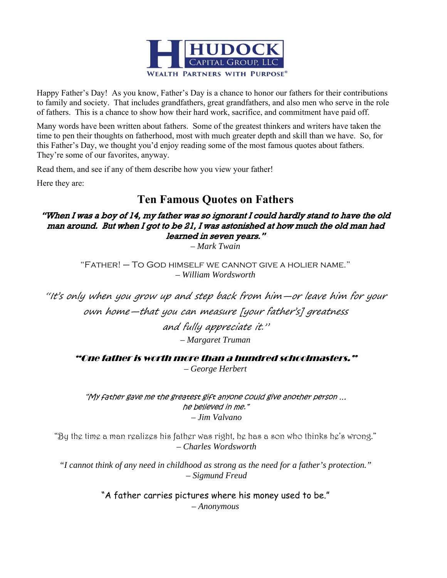

Happy Father's Day! As you know, Father's Day is a chance to honor our fathers for their contributions to family and society. That includes grandfathers, great grandfathers, and also men who serve in the role of fathers. This is a chance to show how their hard work, sacrifice, and commitment have paid off.

Many words have been written about fathers. Some of the greatest thinkers and writers have taken the time to pen their thoughts on fatherhood, most with much greater depth and skill than we have. So, for this Father's Day, we thought you'd enjoy reading some of the most famous quotes about fathers. They're some of our favorites, anyway.

Read them, and see if any of them describe how you view your father!

Here they are:

## **Ten Famous Quotes on Fathers**

## "When I was a boy of 14, my father was so ignorant I could hardly stand to have the old man around. But when I got to be 21, I was astonished at how much the old man had learned in seven years."

*– Mark Twain* 

"Father! – To God himself we cannot give a holier name." *– William Wordsworth* 

"It's only when you grow up and step back from him—or leave him for your own home—that you can measure [your father's] greatness and fully appreciate it." *– Margaret Truman* 

"One father is worth more than a hundred schoolmasters."

*– George Herbert* 

"My father gave me the greatest gift anyone could give another person … he believed in me."  *– Jim Valvano* 

"By the time a man realizes his father was right, he has a son who thinks he's wrong."  *– Charles Wordsworth* 

*"I cannot think of any need in childhood as strong as the need for a father's protection." – Sigmund Freud* 

> "A father carries pictures where his money used to be." *– Anonymous*